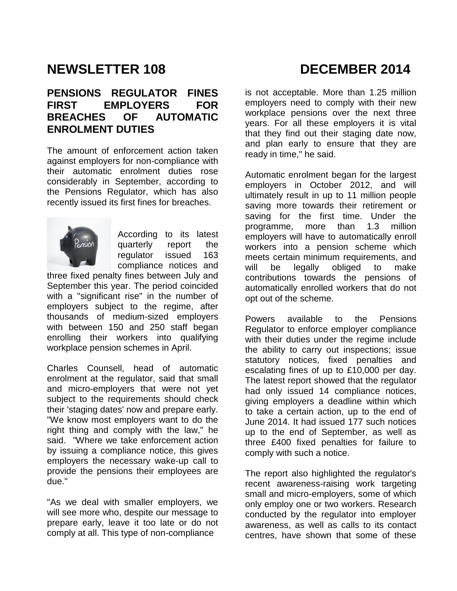# **NEWSLETTER 108 DECEMBER 2014**

#### **PENSIONS REGULATOR FINES FIRST EMPLOYERS FOR BREACHES OF AUTOMATIC ENROLMENT DUTIES**

The amount of enforcement action taken against employers for non-compliance with their automatic enrolment duties rose considerably in September, according to the Pensions Regulator, which has also recently issued its first fines for breaches.



According to its latest [quarterly report](http://www.thepensionsregulator.gov.uk/docs/automatic-enrolment-use-of-powers-september-2014.pdf) the regulator issued 163 compliance notices and

three fixed penalty fines between July and September this year. The period coincided with a "significant rise" in the number of employers subject to the regime, after thousands of medium-sized employers with between 150 and 250 staff began enrolling their workers into qualifying workplace pension schemes in April.

Charles Counsell, head of automatic enrolment at the regulator, said that small and micro-employers that were not yet subject to the requirements should check their 'staging dates' now and prepare early. "We know most employers want to do the right thing and comply with the law," he said. "Where we take enforcement action by issuing a compliance notice, this gives employers the necessary wake-up call to provide the pensions their employees are due."

"As we deal with smaller employers, we will see more who, despite our message to prepare early, leave it too late or do not comply at all. This type of non-compliance

is not acceptable. More than 1.25 million employers need to comply with their new workplace pensions over the next three years. For all these employers it is vital that they find out their staging date now, and plan early to ensure that they are ready in time," he said.

Automatic enrolment began for the largest employers in October 2012, and will ultimately result in up to 11 million people saving more towards their retirement or saving for the first time. Under the programme, more than 1.3 million employers will have to automatically enroll workers into a pension scheme which meets certain minimum requirements, and will be legally obliged to make contributions towards the pensions of automatically enrolled workers that do not opt out of the scheme.

Powers available to the Pensions Regulator to enforce employer compliance with their duties under the regime include the ability to carry out inspections; issue statutory notices, fixed penalties and escalating fines of up to £10,000 per day. The latest report showed that the regulator had only issued 14 compliance notices, giving employers a deadline within which to take a certain action, up to the end of June 2014. It had issued 177 such notices up to the end of September, as well as three £400 fixed penalties for failure to comply with such a notice.

The report also highlighted the regulator's recent awareness-raising work targeting small and micro-employers, some of which only employ one or two workers. Research conducted by the regulator into employer awareness, as well as calls to its contact centres, have shown that some of these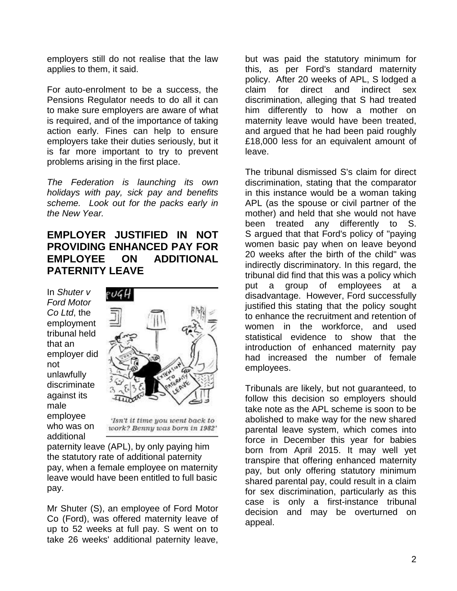employers still do not realise that the law applies to them, it said.

For auto-enrolment to be a success, the Pensions Regulator needs to do all it can to make sure employers are aware of what is required, and of the importance of taking action early. Fines can help to ensure employers take their duties seriously, but it is far more important to try to prevent problems arising in the first place.

*The Federation is launching its own holidays with pay, sick pay and benefits scheme. Look out for the packs early in the New Year.* 

### **EMPLOYER JUSTIFIED IN NOT PROVIDING ENHANCED PAY FOR EMPLOYEE ON ADDITIONAL PATERNITY LEAVE**

In *Shuter v Ford Motor Co Ltd*, the employment tribunal held that an employer did not unlawfully discriminate against its male employee who was on additional



'Isn't it time you went back to work? Benny was born in 1982'

paternity leave (APL), by only paying him the statutory rate of additional paternity pay, when a female employee on maternity leave would have been entitled to full basic pay.

Mr Shuter (S), an employee of Ford Motor Co (Ford), was offered maternity leave of up to 52 weeks at full pay. S went on to take 26 weeks' additional paternity leave,

but was paid the statutory minimum for this, as per Ford's standard maternity policy. After 20 weeks of APL, S lodged a claim for direct and indirect sex discrimination, alleging that S had treated him differently to how a mother on maternity leave would have been treated, and argued that he had been paid roughly £18,000 less for an equivalent amount of leave.

The tribunal dismissed S's claim for direct discrimination, stating that the comparator in this instance would be a woman taking APL (as the spouse or civil partner of the mother) and held that she would not have been treated any differently to S. S argued that that Ford's policy of "paying women basic pay when on leave beyond 20 weeks after the birth of the child" was indirectly discriminatory. In this regard, the tribunal did find that this was a policy which put a group of employees at a disadvantage. However, Ford successfully justified this stating that the policy sought to enhance the recruitment and retention of women in the workforce, and used statistical evidence to show that the introduction of enhanced maternity pay had increased the number of female employees.

Tribunals are likely, but not guaranteed, to follow this decision so employers should take note as the APL scheme is soon to be abolished to make way for the new shared parental leave system, which comes into force in December this year for babies born from April 2015. It may well yet transpire that offering enhanced maternity pay, but only offering statutory minimum shared parental pay, could result in a claim for sex discrimination, particularly as this case is only a first-instance tribunal decision and may be overturned on appeal.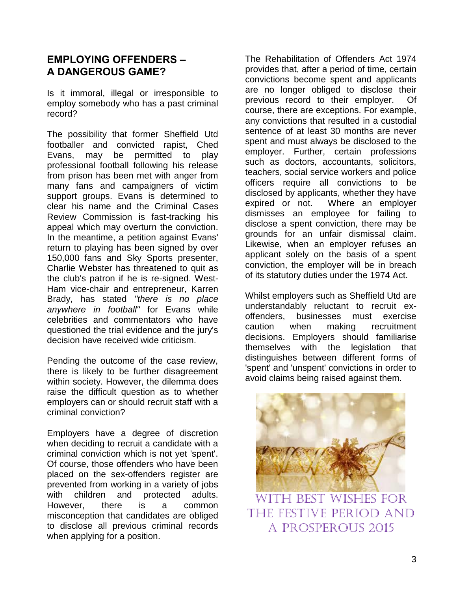## **EMPLOYING OFFENDERS – A DANGEROUS GAME?**

Is it immoral, illegal or irresponsible to employ somebody who has a past criminal record?

The possibility that former Sheffield Utd footballer and convicted rapist, Ched Evans, may be permitted to play professional football following his release from prison has been met with anger from many fans and campaigners of victim support groups. Evans is determined to clear his name and the Criminal Cases Review Commission is fast-tracking his appeal which may overturn the conviction. In the meantime, a petition against Evans' return to playing has been signed by over 150,000 fans and Sky Sports presenter, Charlie Webster has threatened to quit as the club's patron if he is re-signed. West-Ham vice-chair and entrepreneur, Karren Brady, has stated *"there is no place anywhere in football"* for Evans while celebrities and commentators who have questioned the trial evidence and the jury's decision have received wide criticism.

Pending the outcome of the case review, there is likely to be further disagreement within society. However, the dilemma does raise the difficult question as to whether employers can or should recruit staff with a criminal conviction?

Employers have a degree of discretion when deciding to recruit a candidate with a criminal conviction which is not yet 'spent'. Of course, those offenders who have been placed on the sex-offenders register are prevented from working in a variety of jobs with children and protected adults. However, there is a common misconception that candidates are obliged to disclose all previous criminal records when applying for a position.

The Rehabilitation of Offenders Act 1974 provides that, after a period of time, certain convictions become spent and applicants are no longer obliged to disclose their previous record to their employer. Of course, there are exceptions. For example, any convictions that resulted in a custodial sentence of at least 30 months are never spent and must always be disclosed to the employer. Further, certain professions such as doctors, accountants, solicitors, teachers, social service workers and police officers require all convictions to be disclosed by applicants, whether they have expired or not. Where an employer dismisses an employee for failing to disclose a spent conviction, there may be grounds for an unfair dismissal claim. Likewise, when an employer refuses an applicant solely on the basis of a spent conviction, the employer will be in breach of its statutory duties under the 1974 Act.

Whilst employers such as Sheffield Utd are understandably reluctant to recruit exoffenders, businesses must exercise caution when making recruitment decisions. Employers should familiarise themselves with the legislation that distinguishes between different forms of 'spent' and 'unspent' convictions in order to avoid claims being raised against them.



[With best wishes for](http://www.google.co.uk/url?sa=i&rct=j&q=&esrc=s&source=images&cd=&cad=rja&uact=8&ved=0CAcQjRw&url=http%3A%2F%2Fwww.mi9.com%2Fwallpaper%2Fchristmas-and-happy-new-year-golden-ribbon_94298%2F&ei=vcF1VMe4O-TgsATO0oGADQ&bvm=bv.80642063,d.ZGU&psig=AFQjCNF5zxzfjN1Y-Ob9aSeN-N-PN2pwEA&ust=1417089787097914) the festive period and a prosperous 2015